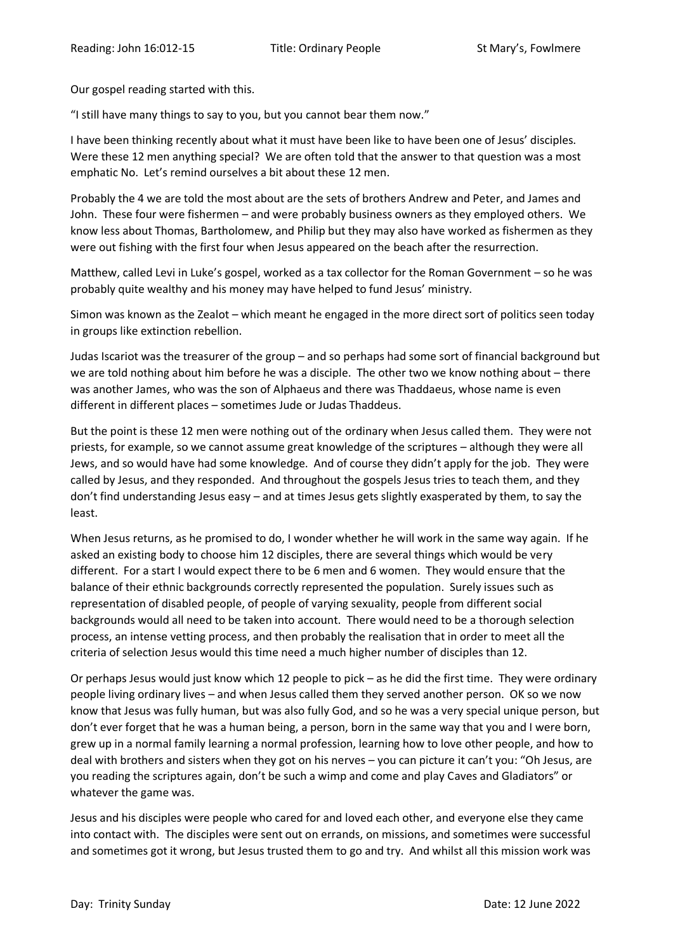Our gospel reading started with this.

"I still have many things to say to you, but you cannot bear them now."

I have been thinking recently about what it must have been like to have been one of Jesus' disciples. Were these 12 men anything special? We are often told that the answer to that question was a most emphatic No. Let's remind ourselves a bit about these 12 men.

Probably the 4 we are told the most about are the sets of brothers Andrew and Peter, and James and John. These four were fishermen – and were probably business owners as they employed others. We know less about Thomas, Bartholomew, and Philip but they may also have worked as fishermen as they were out fishing with the first four when Jesus appeared on the beach after the resurrection.

Matthew, called Levi in Luke's gospel, worked as a tax collector for the Roman Government – so he was probably quite wealthy and his money may have helped to fund Jesus' ministry.

Simon was known as the Zealot – which meant he engaged in the more direct sort of politics seen today in groups like extinction rebellion.

Judas Iscariot was the treasurer of the group – and so perhaps had some sort of financial background but we are told nothing about him before he was a disciple. The other two we know nothing about – there was another James, who was the son of Alphaeus and there was Thaddaeus, whose name is even different in different places – sometimes Jude or Judas Thaddeus.

But the point is these 12 men were nothing out of the ordinary when Jesus called them. They were not priests, for example, so we cannot assume great knowledge of the scriptures – although they were all Jews, and so would have had some knowledge. And of course they didn't apply for the job. They were called by Jesus, and they responded. And throughout the gospels Jesus tries to teach them, and they don't find understanding Jesus easy – and at times Jesus gets slightly exasperated by them, to say the least.

When Jesus returns, as he promised to do, I wonder whether he will work in the same way again. If he asked an existing body to choose him 12 disciples, there are several things which would be very different. For a start I would expect there to be 6 men and 6 women. They would ensure that the balance of their ethnic backgrounds correctly represented the population. Surely issues such as representation of disabled people, of people of varying sexuality, people from different social backgrounds would all need to be taken into account. There would need to be a thorough selection process, an intense vetting process, and then probably the realisation that in order to meet all the criteria of selection Jesus would this time need a much higher number of disciples than 12.

Or perhaps Jesus would just know which 12 people to pick – as he did the first time. They were ordinary people living ordinary lives – and when Jesus called them they served another person. OK so we now know that Jesus was fully human, but was also fully God, and so he was a very special unique person, but don't ever forget that he was a human being, a person, born in the same way that you and I were born, grew up in a normal family learning a normal profession, learning how to love other people, and how to deal with brothers and sisters when they got on his nerves – you can picture it can't you: "Oh Jesus, are you reading the scriptures again, don't be such a wimp and come and play Caves and Gladiators" or whatever the game was.

Jesus and his disciples were people who cared for and loved each other, and everyone else they came into contact with. The disciples were sent out on errands, on missions, and sometimes were successful and sometimes got it wrong, but Jesus trusted them to go and try. And whilst all this mission work was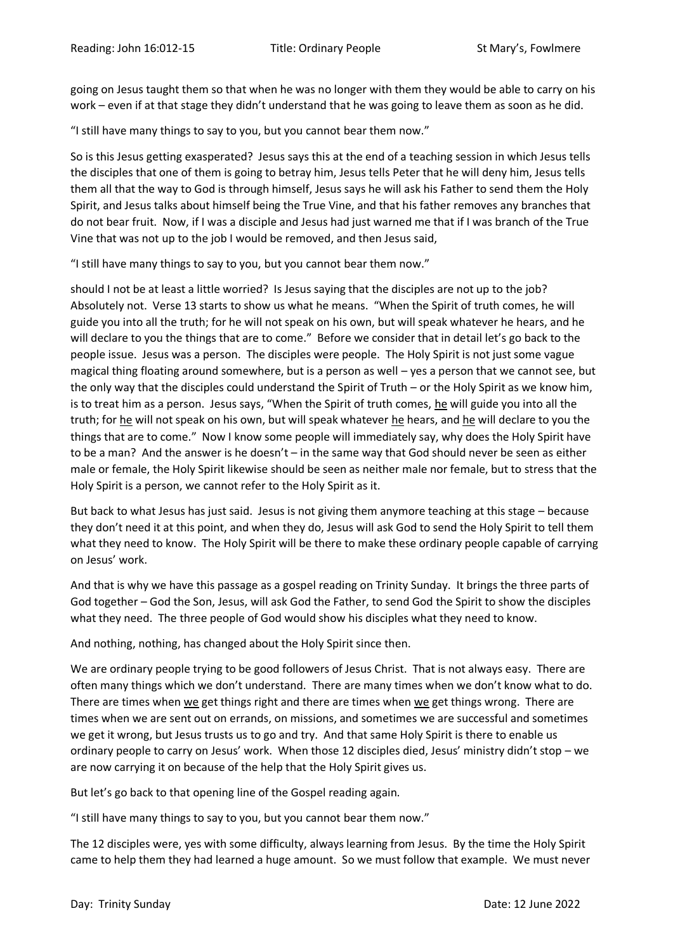going on Jesus taught them so that when he was no longer with them they would be able to carry on his work – even if at that stage they didn't understand that he was going to leave them as soon as he did.

"I still have many things to say to you, but you cannot bear them now."

So is this Jesus getting exasperated? Jesus says this at the end of a teaching session in which Jesus tells the disciples that one of them is going to betray him, Jesus tells Peter that he will deny him, Jesus tells them all that the way to God is through himself, Jesus says he will ask his Father to send them the Holy Spirit, and Jesus talks about himself being the True Vine, and that his father removes any branches that do not bear fruit. Now, if I was a disciple and Jesus had just warned me that if I was branch of the True Vine that was not up to the job I would be removed, and then Jesus said,

"I still have many things to say to you, but you cannot bear them now."

should I not be at least a little worried? Is Jesus saying that the disciples are not up to the job? Absolutely not. Verse 13 starts to show us what he means. "When the Spirit of truth comes, he will guide you into all the truth; for he will not speak on his own, but will speak whatever he hears, and he will declare to you the things that are to come." Before we consider that in detail let's go back to the people issue. Jesus was a person. The disciples were people. The Holy Spirit is not just some vague magical thing floating around somewhere, but is a person as well – yes a person that we cannot see, but the only way that the disciples could understand the Spirit of Truth – or the Holy Spirit as we know him, is to treat him as a person. Jesus says, "When the Spirit of truth comes, he will guide you into all the truth; for he will not speak on his own, but will speak whatever he hears, and he will declare to you the things that are to come." Now I know some people will immediately say, why does the Holy Spirit have to be a man? And the answer is he doesn't – in the same way that God should never be seen as either male or female, the Holy Spirit likewise should be seen as neither male nor female, but to stress that the Holy Spirit is a person, we cannot refer to the Holy Spirit as it.

But back to what Jesus has just said. Jesus is not giving them anymore teaching at this stage – because they don't need it at this point, and when they do, Jesus will ask God to send the Holy Spirit to tell them what they need to know. The Holy Spirit will be there to make these ordinary people capable of carrying on Jesus' work.

And that is why we have this passage as a gospel reading on Trinity Sunday. It brings the three parts of God together – God the Son, Jesus, will ask God the Father, to send God the Spirit to show the disciples what they need. The three people of God would show his disciples what they need to know.

And nothing, nothing, has changed about the Holy Spirit since then.

We are ordinary people trying to be good followers of Jesus Christ. That is not always easy. There are often many things which we don't understand. There are many times when we don't know what to do. There are times when we get things right and there are times when we get things wrong. There are times when we are sent out on errands, on missions, and sometimes we are successful and sometimes we get it wrong, but Jesus trusts us to go and try. And that same Holy Spirit is there to enable us ordinary people to carry on Jesus' work. When those 12 disciples died, Jesus' ministry didn't stop – we are now carrying it on because of the help that the Holy Spirit gives us.

But let's go back to that opening line of the Gospel reading again.

"I still have many things to say to you, but you cannot bear them now."

The 12 disciples were, yes with some difficulty, always learning from Jesus. By the time the Holy Spirit came to help them they had learned a huge amount. So we must follow that example. We must never